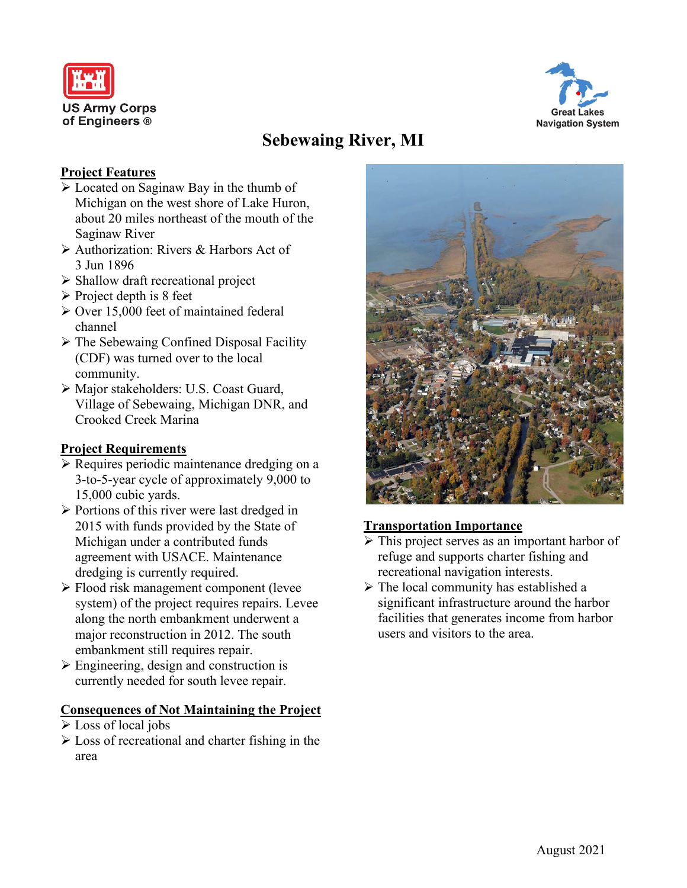



# **Sebewaing River, MI**

## **Project Features**

- Located on Saginaw Bay in the thumb of Michigan on the west shore of Lake Huron, about 20 miles northeast of the mouth of the Saginaw River
- Authorization: Rivers & Harbors Act of 3 Jun 1896
- $\triangleright$  Shallow draft recreational project
- $\triangleright$  Project depth is 8 feet
- Over 15,000 feet of maintained federal channel
- $\triangleright$  The Sebewaing Confined Disposal Facility (CDF) was turned over to the local community.
- Major stakeholders: U.S. Coast Guard, Village of Sebewaing, Michigan DNR, and Crooked Creek Marina

### **Project Requirements**

- Requires periodic maintenance dredging on a 3-to-5-year cycle of approximately 9,000 to 15,000 cubic yards.
- $\triangleright$  Portions of this river were last dredged in 2015 with funds provided by the State of Michigan under a contributed funds agreement with USACE. Maintenance dredging is currently required.
- Flood risk management component (levee system) of the project requires repairs. Levee along the north embankment underwent a major reconstruction in 2012. The south embankment still requires repair.
- $\triangleright$  Engineering, design and construction is currently needed for south levee repair.

#### **Consequences of Not Maintaining the Project**

- Loss of local jobs
- $\triangleright$  Loss of recreational and charter fishing in the area



#### **Transportation Importance**

- $\triangleright$  This project serves as an important harbor of refuge and supports charter fishing and recreational navigation interests.
- $\triangleright$  The local community has established a significant infrastructure around the harbor facilities that generates income from harbor users and visitors to the area.